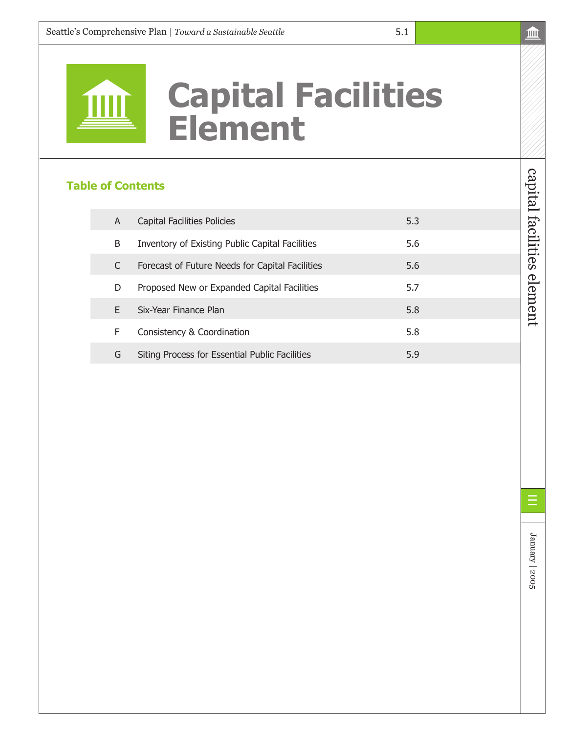# **Capital Facilities Element**

5.1

# **Table of Contents**

| A | Capital Facilities Policies                     | 5.3 |
|---|-------------------------------------------------|-----|
| B | Inventory of Existing Public Capital Facilities | 5.6 |
|   | Forecast of Future Needs for Capital Facilities | 5.6 |
| D | Proposed New or Expanded Capital Facilities     | 5.7 |
| F | Six-Year Finance Plan                           | 5.8 |
| F | Consistency & Coordination                      | 5.8 |
| G | Siting Process for Essential Public Facilities  | 5.9 |

capital facilities element

capital facilities element

January | 2005

January | 2005

Ξ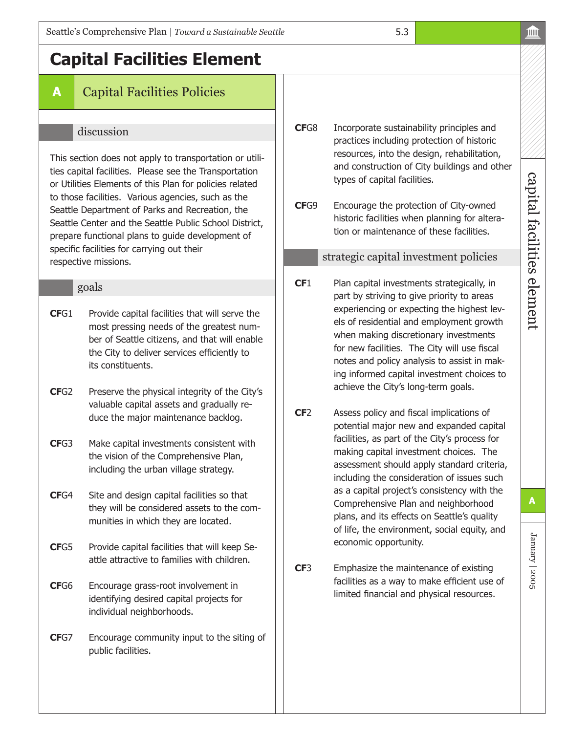# **Capital Facilities Element**

# **A** Capital Facilities Policies

#### discussion

This section does not apply to transportation or utilities capital facilities. Please see the Transportation or Utilities Elements of this Plan for policies related to those facilities. Various agencies, such as the Seattle Department of Parks and Recreation, the Seattle Center and the Seattle Public School District, prepare functional plans to guide development of specific facilities for carrying out their respective missions.

#### goals

- **CF**G1 Provide capital facilities that will serve the most pressing needs of the greatest number of Seattle citizens, and that will enable the City to deliver services efficiently to its constituents.
- **CF**G2 Preserve the physical integrity of the City's valuable capital assets and gradually reduce the major maintenance backlog.
- **CF**G3 Make capital investments consistent with the vision of the Comprehensive Plan, including the urban village strategy.
- **CF**G4 Site and design capital facilities so that they will be considered assets to the communities in which they are located.
- **CF**G5 Provide capital facilities that will keep Seattle attractive to families with children.
- **CF**G6 Encourage grass-root involvement in identifying desired capital projects for individual neighborhoods.
- **CF**G7 Encourage community input to the siting of public facilities.

**CF**G8 Incorporate sustainability principles and practices including protection of historic resources, into the design, rehabilitation, and construction of City buildings and other types of capital facilities.

5.3

**CF**G9 Encourage the protection of City-owned historic facilities when planning for alteration or maintenance of these facilities.

#### strategic capital investment policies

- **CF1** Plan capital investments strategically, in part by striving to give priority to areas experiencing or expecting the highest levels of residential and employment growth when making discretionary investments for new facilities. The City will use fiscal notes and policy analysis to assist in making informed capital investment choices to achieve the City's long-term goals.
- **CF**2 Assess policy and fiscal implications of potential major new and expanded capital facilities, as part of the City's process for making capital investment choices. The assessment should apply standard criteria, including the consideration of issues such as a capital project's consistency with the Comprehensive Plan and neighborhood plans, and its effects on Seattle's quality of life, the environment, social equity, and economic opportunity.
- **CF**3 Emphasize the maintenance of existing facilities as a way to make efficient use of limited financial and physical resources.

January | 2005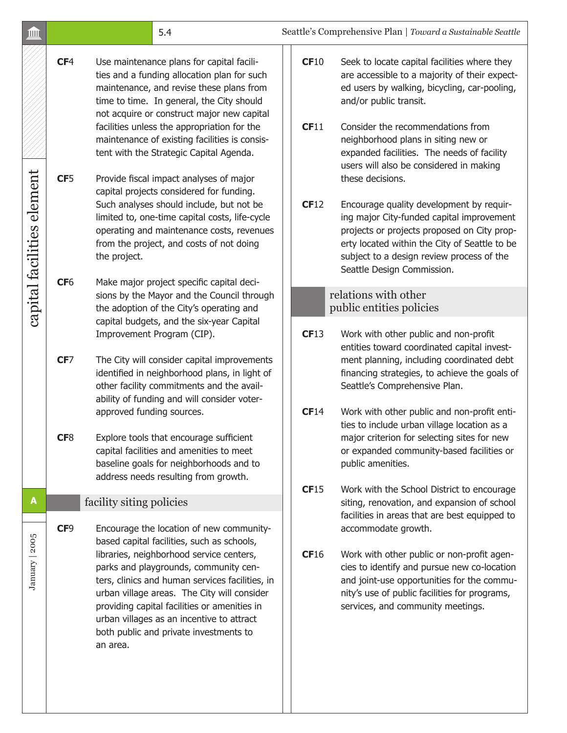| <b>IIII</b>                |                 | 5.4                                                                                                                                                                                                                                                                                                                                    |      | Seattle's Comprehensive Plan   Toward a Sustainable Seattle                                                                                                                                                                                                                          |
|----------------------------|-----------------|----------------------------------------------------------------------------------------------------------------------------------------------------------------------------------------------------------------------------------------------------------------------------------------------------------------------------------------|------|--------------------------------------------------------------------------------------------------------------------------------------------------------------------------------------------------------------------------------------------------------------------------------------|
|                            | CF <sub>4</sub> | Use maintenance plans for capital facili-<br>ties and a funding allocation plan for such<br>maintenance, and revise these plans from<br>time to time. In general, the City should<br>not acquire or construct major new capital                                                                                                        | CF10 | Seek to locate capital facilities where they<br>are accessible to a majority of their expect-<br>ed users by walking, bicycling, car-pooling,<br>and/or public transit.                                                                                                              |
|                            |                 | facilities unless the appropriation for the<br>maintenance of existing facilities is consis-<br>tent with the Strategic Capital Agenda.                                                                                                                                                                                                | CF11 | Consider the recommendations from<br>neighborhood plans in siting new or<br>expanded facilities. The needs of facility<br>users will also be considered in making                                                                                                                    |
| capital facilities element | CF <sub>5</sub> | Provide fiscal impact analyses of major<br>capital projects considered for funding.<br>Such analyses should include, but not be<br>limited to, one-time capital costs, life-cycle<br>operating and maintenance costs, revenues<br>from the project, and costs of not doing<br>the project.                                             | CF12 | these decisions.<br>Encourage quality development by requir-<br>ing major City-funded capital improvement<br>projects or projects proposed on City prop-<br>erty located within the City of Seattle to be<br>subject to a design review process of the<br>Seattle Design Commission. |
|                            | CF <sub>6</sub> | Make major project specific capital deci-<br>sions by the Mayor and the Council through<br>the adoption of the City's operating and                                                                                                                                                                                                    |      | relations with other<br>public entities policies                                                                                                                                                                                                                                     |
|                            |                 | capital budgets, and the six-year Capital<br>Improvement Program (CIP).                                                                                                                                                                                                                                                                | CF13 | Work with other public and non-profit<br>entities toward coordinated capital invest-                                                                                                                                                                                                 |
|                            | CF7             | The City will consider capital improvements<br>identified in neighborhood plans, in light of<br>other facility commitments and the avail-<br>ability of funding and will consider voter-                                                                                                                                               |      | ment planning, including coordinated debt<br>financing strategies, to achieve the goals of<br>Seattle's Comprehensive Plan.                                                                                                                                                          |
|                            | CF8             | approved funding sources.<br>Explore tools that encourage sufficient<br>capital facilities and amenities to meet<br>baseline goals for neighborhoods and to                                                                                                                                                                            | CF14 | Work with other public and non-profit enti-<br>ties to include urban village location as a<br>major criterion for selecting sites for new<br>or expanded community-based facilities or<br>public amenities.                                                                          |
| A                          |                 | address needs resulting from growth.                                                                                                                                                                                                                                                                                                   | CF15 | Work with the School District to encourage                                                                                                                                                                                                                                           |
|                            | CF9             | facility siting policies<br>Encourage the location of new community-<br>based capital facilities, such as schools,                                                                                                                                                                                                                     |      | siting, renovation, and expansion of school<br>facilities in areas that are best equipped to<br>accommodate growth.                                                                                                                                                                  |
| January   2005             |                 | libraries, neighborhood service centers,<br>parks and playgrounds, community cen-<br>ters, clinics and human services facilities, in<br>urban village areas. The City will consider<br>providing capital facilities or amenities in<br>urban villages as an incentive to attract<br>both public and private investments to<br>an area. | CF16 | Work with other public or non-profit agen-<br>cies to identify and pursue new co-location<br>and joint-use opportunities for the commu-<br>nity's use of public facilities for programs,<br>services, and community meetings.                                                        |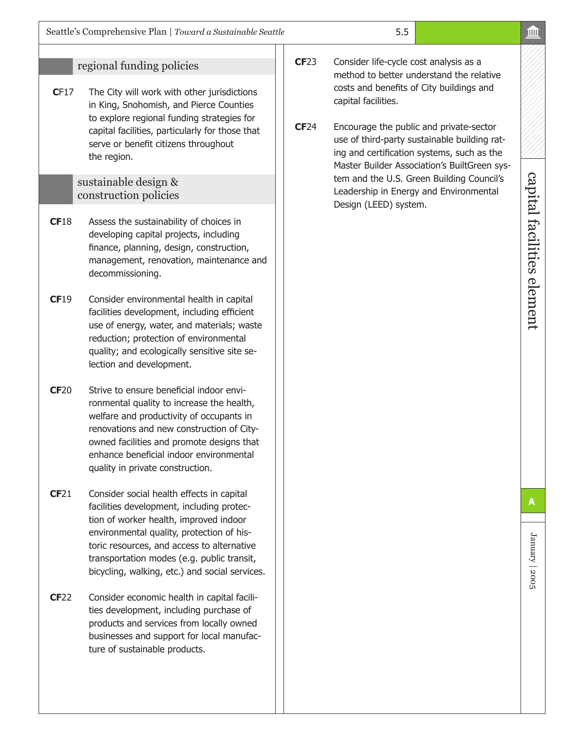## regional funding policies

**CF17** The City will work with other jurisdictions in King, Snohomish, and Pierce Counties to explore regional funding strategies for capital facilities, particularly for those that serve or benefit citizens throughout the region.

#### sustainable design & construction policies

- **CF**18 Assess the sustainability of choices in developing capital projects, including finance, planning, design, construction, management, renovation, maintenance and decommissioning.
- **CF**19 Consider environmental health in capital facilities development, including efficient use of energy, water, and materials; waste reduction; protection of environmental quality; and ecologically sensitive site selection and development.
- **CF**20 Strive to ensure beneficial indoor environmental quality to increase the health, welfare and productivity of occupants in renovations and new construction of Cityowned facilities and promote designs that enhance beneficial indoor environmental quality in private construction.
- **CF**21 Consider social health effects in capital facilities development, including protection of worker health, improved indoor environmental quality, protection of historic resources, and access to alternative transportation modes (e.g. public transit, bicycling, walking, etc.) and social services.
- **CF**22 Consider economic health in capital facilities development, including purchase of products and services from locally owned businesses and support for local manufacture of sustainable products.
- **CF**23 Consider life-cycle cost analysis as a method to better understand the relative costs and benefits of City buildings and capital facilities.
- **CF**24 Encourage the public and private-sector use of third-party sustainable building rating and certification systems, such as the Master Builder Association's BuiltGreen system and the U.S. Green Building Council's Leadership in Energy and Environmental Design (LEED) system.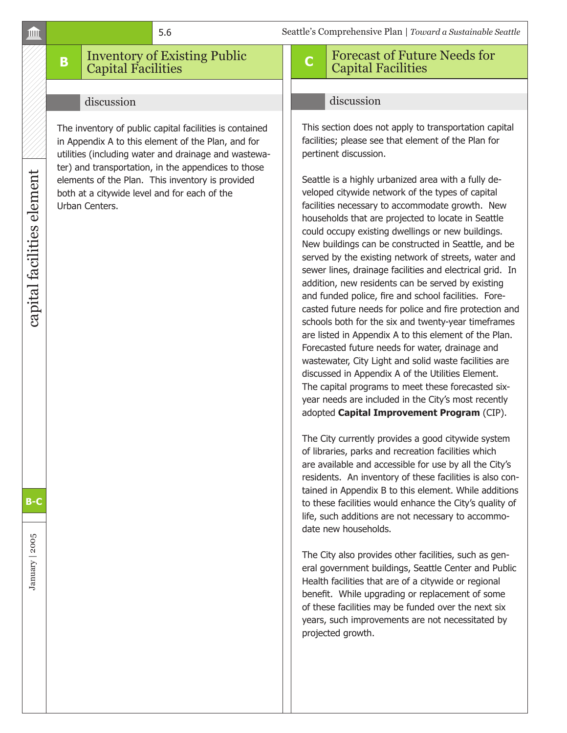# **B** Inventory of Existing Public Capital Facilities

#### discussion

The inventory of public capital facilities is contained in Appendix A to this element of the Plan, and for utilities (including water and drainage and wastewater) and transportation, in the appendices to those elements of the Plan. This inventory is provided both at a citywide level and for each of the Urban Centers.

# **<sup>C</sup>** Forecast of Future Needs for Capital Facilities

#### discussion

This section does not apply to transportation capital facilities; please see that element of the Plan for pertinent discussion.

Seattle is a highly urbanized area with a fully developed citywide network of the types of capital facilities necessary to accommodate growth. New households that are projected to locate in Seattle could occupy existing dwellings or new buildings. New buildings can be constructed in Seattle, and be served by the existing network of streets, water and sewer lines, drainage facilities and electrical grid. In addition, new residents can be served by existing and funded police, fire and school facilities. Forecasted future needs for police and fire protection and schools both for the six and twenty-year timeframes are listed in Appendix A to this element of the Plan. Forecasted future needs for water, drainage and wastewater, City Light and solid waste facilities are discussed in Appendix A of the Utilities Element. The capital programs to meet these forecasted sixyear needs are included in the City's most recently adopted **Capital Improvement Program** (CIP).

The City currently provides a good citywide system of libraries, parks and recreation facilities which are available and accessible for use by all the City's residents. An inventory of these facilities is also contained in Appendix B to this element. While additions to these facilities would enhance the City's quality of life, such additions are not necessary to accommodate new households.

The City also provides other facilities, such as general government buildings, Seattle Center and Public Health facilities that are of a citywide or regional benefit. While upgrading or replacement of some of these facilities may be funded over the next six years, such improvements are not necessitated by projected growth.

#### шÙ

January | 2005

January | 2005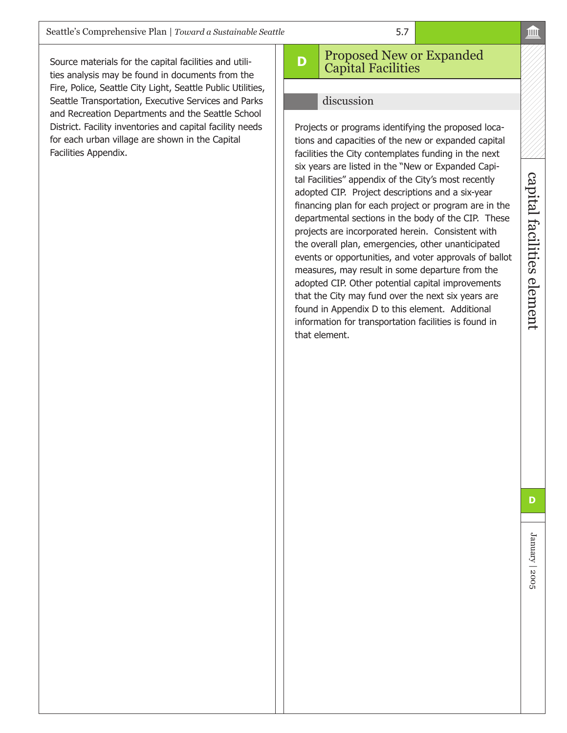Source materials for the capital facilities and utilities analysis may be found in documents from the Fire, Police, Seattle City Light, Seattle Public Utilities, Seattle Transportation, Executive Services and Parks and Recreation Departments and the Seattle School District. Facility inventories and capital facility needs for each urban village are shown in the Capital Facilities Appendix.

# **D** Proposed New or Expanded Capital Facilities

5.7

#### discussion

Projects or programs identifying the proposed locations and capacities of the new or expanded capital facilities the City contemplates funding in the next six years are listed in the "New or Expanded Capital Facilities" appendix of the City's most recently adopted CIP. Project descriptions and a six-year financing plan for each project or program are in the departmental sections in the body of the CIP. These projects are incorporated herein. Consistent with the overall plan, emergencies, other unanticipated events or opportunities, and voter approvals of ballot measures, may result in some departure from the adopted CIP. Other potential capital improvements that the City may fund over the next six years are found in Appendix D to this element. Additional information for transportation facilities is found in that element.

January | 2005

January | 2005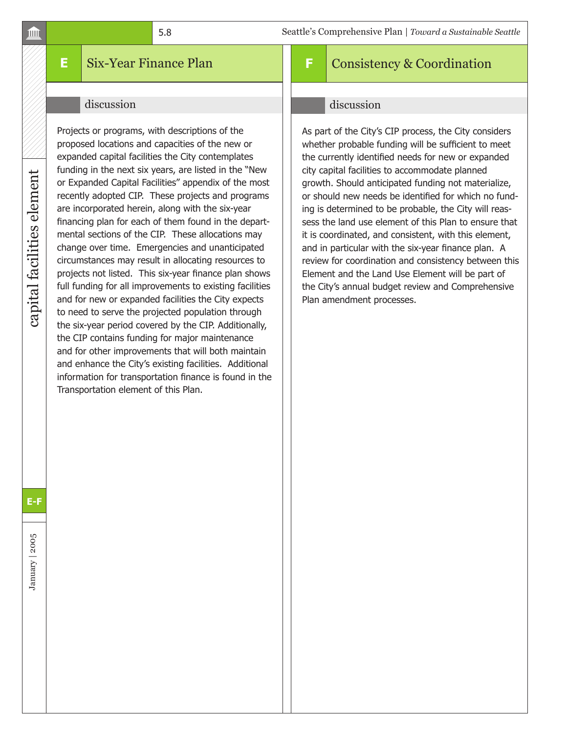# **E** Six-Year Finance Plan

#### discussion

Projects or programs, with descriptions of the proposed locations and capacities of the new or expanded capital facilities the City contemplates funding in the next six years, are listed in the "New or Expanded Capital Facilities" appendix of the most recently adopted CIP. These projects and programs are incorporated herein, along with the six-year financing plan for each of them found in the departmental sections of the CIP. These allocations may change over time. Emergencies and unanticipated circumstances may result in allocating resources to projects not listed. This six-year finance plan shows full funding for all improvements to existing facilities and for new or expanded facilities the City expects to need to serve the projected population through the six-year period covered by the CIP. Additionally, the CIP contains funding for major maintenance and for other improvements that will both maintain and enhance the City's existing facilities. Additional information for transportation finance is found in the Transportation element of this Plan.

# **F** Consistency & Coordination

#### discussion

As part of the City's CIP process, the City considers whether probable funding will be sufficient to meet the currently identified needs for new or expanded city capital facilities to accommodate planned growth. Should anticipated funding not materialize, or should new needs be identified for which no funding is determined to be probable, the City will reassess the land use element of this Plan to ensure that it is coordinated, and consistent, with this element, and in particular with the six-year finance plan. A review for coordination and consistency between this Element and the Land Use Element will be part of the City's annual budget review and Comprehensive Plan amendment processes.

capital facilities element

capital facilities element

**E-F**